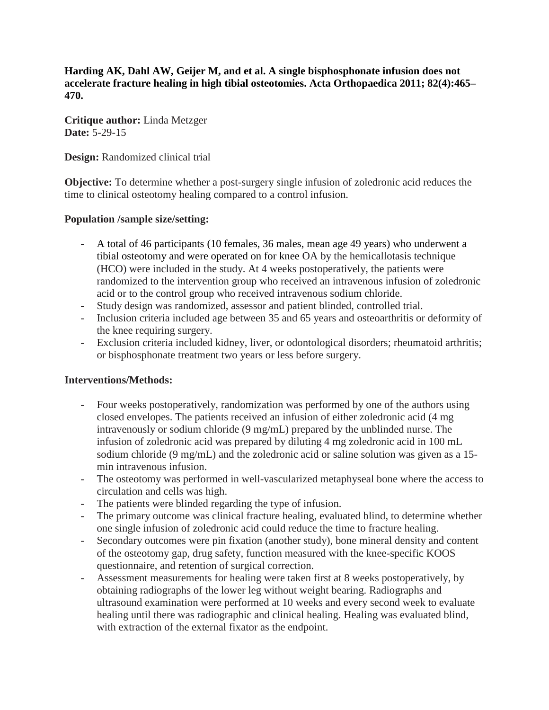**Harding AK, Dahl AW, Geijer M, and et al. A single bisphosphonate infusion does not accelerate fracture healing in high tibial osteotomies. Acta Orthopaedica 2011; 82(4):465– 470.**

**Critique author:** Linda Metzger **Date:** 5-29-15

**Design:** Randomized clinical trial

**Objective:** To determine whether a post-surgery single infusion of zoledronic acid reduces the time to clinical osteotomy healing compared to a control infusion.

#### **Population /sample size/setting:**

- A total of 46 participants (10 females, 36 males, mean age 49 years) who underwent a tibial osteotomy and were operated on for knee OA by the hemicallotasis technique (HCO) were included in the study. At 4 weeks postoperatively, the patients were randomized to the intervention group who received an intravenous infusion of zoledronic acid or to the control group who received intravenous sodium chloride.
- Study design was randomized, assessor and patient blinded, controlled trial.
- Inclusion criteria included age between 35 and 65 years and osteoarthritis or deformity of the knee requiring surgery.
- Exclusion criteria included kidney, liver, or odontological disorders; rheumatoid arthritis; or bisphosphonate treatment two years or less before surgery.

#### **Interventions/Methods:**

- Four weeks postoperatively, randomization was performed by one of the authors using closed envelopes. The patients received an infusion of either zoledronic acid (4 mg intravenously or sodium chloride (9 mg/mL) prepared by the unblinded nurse. The infusion of zoledronic acid was prepared by diluting 4 mg zoledronic acid in 100 mL sodium chloride (9 mg/mL) and the zoledronic acid or saline solution was given as a 15 min intravenous infusion.
- The osteotomy was performed in well-vascularized metaphyseal bone where the access to circulation and cells was high.
- The patients were blinded regarding the type of infusion.
- The primary outcome was clinical fracture healing, evaluated blind, to determine whether one single infusion of zoledronic acid could reduce the time to fracture healing.
- Secondary outcomes were pin fixation (another study), bone mineral density and content of the osteotomy gap, drug safety, function measured with the knee-specific KOOS questionnaire, and retention of surgical correction.
- Assessment measurements for healing were taken first at 8 weeks postoperatively, by obtaining radiographs of the lower leg without weight bearing. Radiographs and ultrasound examination were performed at 10 weeks and every second week to evaluate healing until there was radiographic and clinical healing. Healing was evaluated blind, with extraction of the external fixator as the endpoint.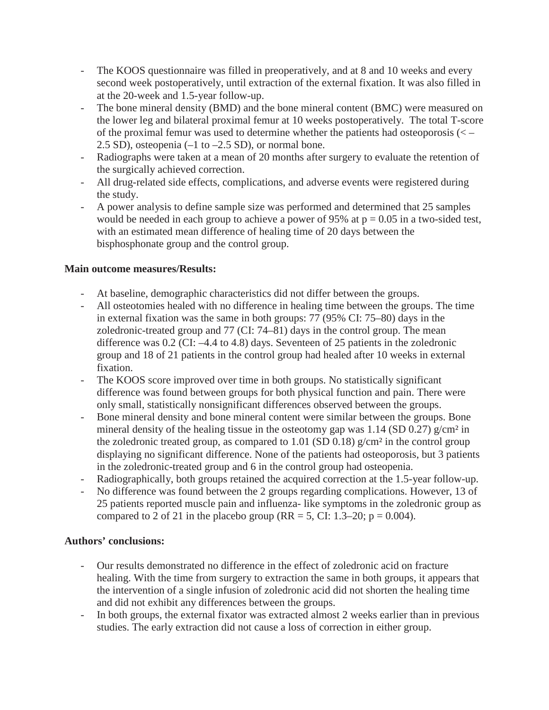- The KOOS questionnaire was filled in preoperatively, and at 8 and 10 weeks and every second week postoperatively, until extraction of the external fixation. It was also filled in at the 20-week and 1.5-year follow-up.
- The bone mineral density (BMD) and the bone mineral content (BMC) were measured on the lower leg and bilateral proximal femur at 10 weeks postoperatively. The total T-score of the proximal femur was used to determine whether the patients had osteoporosis (< – 2.5 SD), osteopenia  $(-1 \text{ to } -2.5 \text{ SD})$ , or normal bone.
- Radiographs were taken at a mean of 20 months after surgery to evaluate the retention of the surgically achieved correction.
- All drug-related side effects, complications, and adverse events were registered during the study.
- A power analysis to define sample size was performed and determined that 25 samples would be needed in each group to achieve a power of 95% at  $p = 0.05$  in a two-sided test, with an estimated mean difference of healing time of 20 days between the bisphosphonate group and the control group.

# **Main outcome measures/Results:**

- At baseline, demographic characteristics did not differ between the groups.
- All osteotomies healed with no difference in healing time between the groups. The time in external fixation was the same in both groups: 77 (95% CI: 75–80) days in the zoledronic-treated group and 77 (CI: 74–81) days in the control group. The mean difference was 0.2 (CI: –4.4 to 4.8) days. Seventeen of 25 patients in the zoledronic group and 18 of 21 patients in the control group had healed after 10 weeks in external fixation.
- The KOOS score improved over time in both groups. No statistically significant difference was found between groups for both physical function and pain. There were only small, statistically nonsignificant differences observed between the groups.
- Bone mineral density and bone mineral content were similar between the groups. Bone mineral density of the healing tissue in the osteotomy gap was  $1.14$  (SD 0.27) g/cm<sup>2</sup> in the zoledronic treated group, as compared to 1.01 (SD 0.18)  $g/cm<sup>2</sup>$  in the control group displaying no significant difference. None of the patients had osteoporosis, but 3 patients in the zoledronic-treated group and 6 in the control group had osteopenia.
- Radiographically, both groups retained the acquired correction at the 1.5-year follow-up.
- No difference was found between the 2 groups regarding complications. However, 13 of 25 patients reported muscle pain and influenza- like symptoms in the zoledronic group as compared to 2 of 21 in the placebo group (RR = 5, CI: 1.3–20;  $p = 0.004$ ).

## **Authors' conclusions:**

- Our results demonstrated no difference in the effect of zoledronic acid on fracture healing. With the time from surgery to extraction the same in both groups, it appears that the intervention of a single infusion of zoledronic acid did not shorten the healing time and did not exhibit any differences between the groups.
- In both groups, the external fixator was extracted almost 2 weeks earlier than in previous studies. The early extraction did not cause a loss of correction in either group.